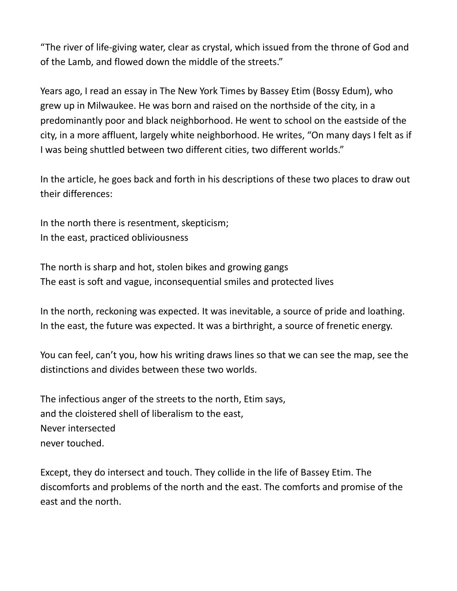"The river of life-giving water, clear as crystal, which issued from the throne of God and of the Lamb, and flowed down the middle of the streets."

Years ago, I read an essay in The New York Times by Bassey Etim (Bossy Edum), who grew up in Milwaukee. He was born and raised on the northside of the city, in a predominantly poor and black neighborhood. He went to school on the eastside of the city, in a more affluent, largely white neighborhood. He writes, "On many days I felt as if I was being shuttled between two different cities, two different worlds."

In the article, he goes back and forth in his descriptions of these two places to draw out their differences:

In the north there is resentment, skepticism; In the east, practiced obliviousness

The north is sharp and hot, stolen bikes and growing gangs The east is soft and vague, inconsequential smiles and protected lives

In the north, reckoning was expected. It was inevitable, a source of pride and loathing. In the east, the future was expected. It was a birthright, a source of frenetic energy.

You can feel, can't you, how his writing draws lines so that we can see the map, see the distinctions and divides between these two worlds.

The infectious anger of the streets to the north, Etim says, and the cloistered shell of liberalism to the east, Never intersected never touched.

Except, they do intersect and touch. They collide in the life of Bassey Etim. The discomforts and problems of the north and the east. The comforts and promise of the east and the north.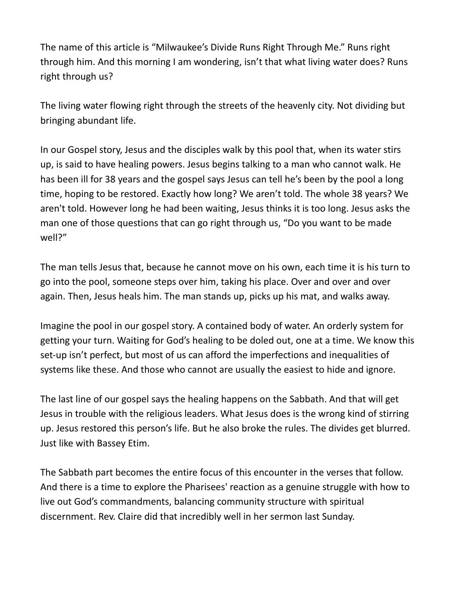The name of this article is "Milwaukee's Divide Runs Right Through Me." Runs right through him. And this morning I am wondering, isn't that what living water does? Runs right through us?

The living water flowing right through the streets of the heavenly city. Not dividing but bringing abundant life.

In our Gospel story, Jesus and the disciples walk by this pool that, when its water stirs up, is said to have healing powers. Jesus begins talking to a man who cannot walk. He has been ill for 38 years and the gospel says Jesus can tell he's been by the pool a long time, hoping to be restored. Exactly how long? We aren't told. The whole 38 years? We aren't told. However long he had been waiting, Jesus thinks it is too long. Jesus asks the man one of those questions that can go right through us, "Do you want to be made well?"

The man tells Jesus that, because he cannot move on his own, each time it is his turn to go into the pool, someone steps over him, taking his place. Over and over and over again. Then, Jesus heals him. The man stands up, picks up his mat, and walks away.

Imagine the pool in our gospel story. A contained body of water. An orderly system for getting your turn. Waiting for God's healing to be doled out, one at a time. We know this set-up isn't perfect, but most of us can afford the imperfections and inequalities of systems like these. And those who cannot are usually the easiest to hide and ignore.

The last line of our gospel says the healing happens on the Sabbath. And that will get Jesus in trouble with the religious leaders. What Jesus does is the wrong kind of stirring up. Jesus restored this person's life. But he also broke the rules. The divides get blurred. Just like with Bassey Etim.

The Sabbath part becomes the entire focus of this encounter in the verses that follow. And there is a time to explore the Pharisees' reaction as a genuine struggle with how to live out God's commandments, balancing community structure with spiritual discernment. Rev. Claire did that incredibly well in her sermon last Sunday.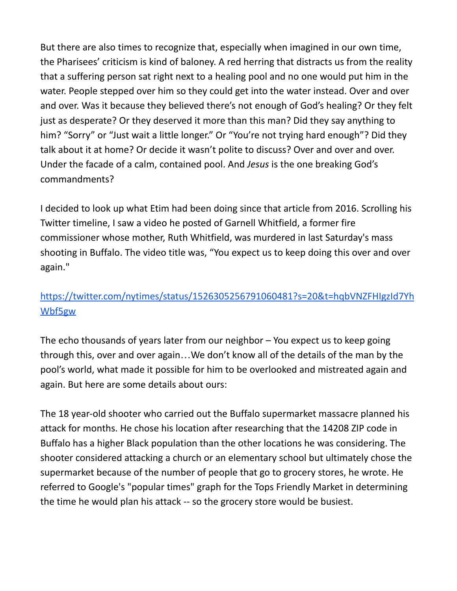But there are also times to recognize that, especially when imagined in our own time, the Pharisees' criticism is kind of baloney. A red herring that distracts us from the reality that a suffering person sat right next to a healing pool and no one would put him in the water. People stepped over him so they could get into the water instead. Over and over and over. Was it because they believed there's not enough of God's healing? Or they felt just as desperate? Or they deserved it more than this man? Did they say anything to him? "Sorry" or "Just wait a little longer." Or "You're not trying hard enough"? Did they talk about it at home? Or decide it wasn't polite to discuss? Over and over and over. Under the facade of a calm, contained pool. And *Jesus* is the one breaking God's commandments?

I decided to look up what Etim had been doing since that article from 2016. Scrolling his Twitter timeline, I saw a video he posted of Garnell Whitfield, a former fire commissioner whose mother, Ruth Whitfield, was murdered in last Saturday's mass shooting in Buffalo. The video title was, "You expect us to keep doing this over and over again."

## [https://twitter.com/nytimes/status/1526305256791060481?s=20&t=hqbVNZFHIgzId7Yh](https://twitter.com/nytimes/status/1526305256791060481?s=20&t=hqbVNZFHIgzId7YhWbf5gw) [Wbf5gw](https://twitter.com/nytimes/status/1526305256791060481?s=20&t=hqbVNZFHIgzId7YhWbf5gw)

The echo thousands of years later from our neighbor – You expect us to keep going through this, over and over again…We don't know all of the details of the man by the pool's world, what made it possible for him to be overlooked and mistreated again and again. But here are some details about ours:

The 18 year-old shooter who carried out the Buffalo supermarket massacre planned his attack for months. He chose his location after researching that the 14208 ZIP code in Buffalo has a higher Black population than the other locations he was considering. The shooter considered attacking a church or an elementary school but ultimately chose the supermarket because of the number of people that go to grocery stores, he wrote. He referred to Google's "popular times" graph for the Tops Friendly Market in determining the time he would plan his attack -- so the grocery store would be busiest.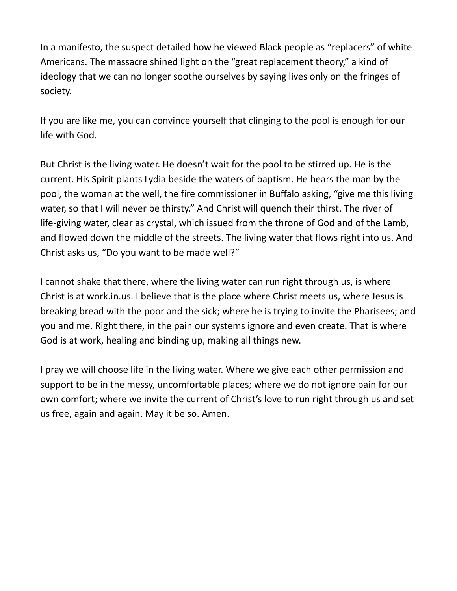In a manifesto, the suspect detailed how he viewed Black people as "replacers" of white Americans. The massacre shined light on the "great replacement theory," a kind of ideology that we can no longer soothe ourselves by saying lives only on the fringes of society.

If you are like me, you can convince yourself that clinging to the pool is enough for our life with God.

But Christ is the living water. He doesn't wait for the pool to be stirred up. He is the current. His Spirit plants Lydia beside the waters of baptism. He hears the man by the pool, the woman at the well, the fire commissioner in Buffalo asking, "give me this living water, so that I will never be thirsty." And Christ will quench their thirst. The river of life-giving water, clear as crystal, which issued from the throne of God and of the Lamb, and flowed down the middle of the streets. The living water that flows right into us. And Christ asks us, "Do you want to be made well?"

I cannot shake that there, where the living water can run right through us, is where Christ is at work.in.us. I believe that is the place where Christ meets us, where Jesus is breaking bread with the poor and the sick; where he is trying to invite the Pharisees; and you and me. Right there, in the pain our systems ignore and even create. That is where God is at work, healing and binding up, making all things new.

I pray we will choose life in the living water. Where we give each other permission and support to be in the messy, uncomfortable places; where we do not ignore pain for our own comfort; where we invite the current of Christ's love to run right through us and set us free, again and again. May it be so. Amen.